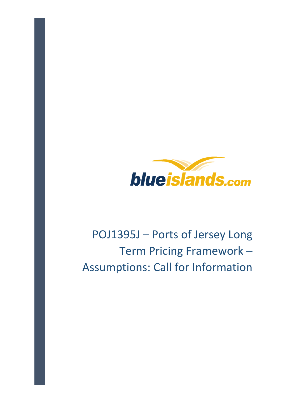

# POJ1395J – Ports of Jersey Long Term Pricing Framework – Assumptions: Call for Information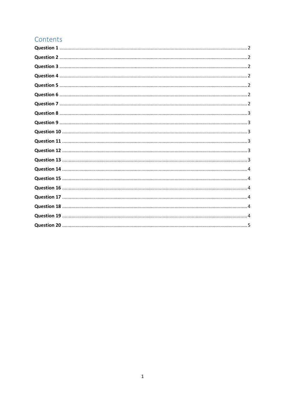# Contents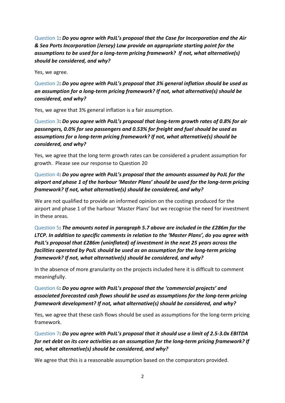Question 1: Do you agree with PoJL's proposal that the Case for Incorporation and the Air & Sea Ports Incorporation (Jersey) Law provide an appropriate starting point for the assumptions to be used for a long-term pricing framework? If not, what alternative(s) should be considered, and why?

Yes, we agree.

Question 2: Do you agree with PoJL's proposal that 3% general inflation should be used as an assumption for a long-term pricing framework? If not, what alternative(s) should be considered, and why?

Yes, we agree that 3% general inflation is a fair assumption.

Question 3: Do you agree with PoJL's proposal that long-term growth rates of 0.8% for air passengers, 0.0% for sea passengers and 0.53% for freight and fuel should be used as assumptions for a long-term pricing framework? If not, what alternative(s) should be considered, and why?

Yes, we agree that the long term growth rates can be considered a prudent assumption for growth. Please see our response to Question 20

# Question 4: Do you agree with PoJL's proposal that the amounts assumed by PoJL for the airport and phase 1 of the harbour 'Master Plans' should be used for the long-term pricing framework? If not, what alternative(s) should be considered, and why?

We are not qualified to provide an informed opinion on the costings produced for the airport and phase 1 of the harbour 'Master Plans' but we recognise the need for investment in these areas.

Question 5: The amounts noted in paragraph 5.7 above are included in the £286m for the LTCP. In addition to specific comments in relation to the 'Master Plans', do you agree with PoJL's proposal that £286m (uninflated) of investment in the next 25 years across the facilities operated by PoJL should be used as an assumption for the long-term pricing framework? If not, what alternative(s) should be considered, and why?

In the absence of more granularity on the projects included here it is difficult to comment meaningfully.

# Question 6: Do you agree with PoJL's proposal that the 'commercial projects' and associated forecasted cash flows should be used as assumptions for the long-term pricing framework development? If not, what alternative(s) should be considered, and why?

Yes, we agree that these cash flows should be used as assumptions for the long-term pricing framework.

Question 7: Do you agree with PoJL's proposal that it should use a limit of 2.5-3.0x EBITDA for net debt on its core activities as an assumption for the long-term pricing framework? If not, what alternative(s) should be considered, and why?

We agree that this is a reasonable assumption based on the comparators provided.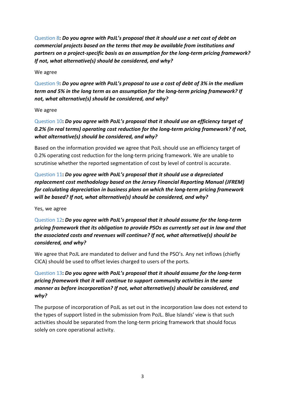Question 8: Do you agree with PoJL's proposal that it should use a net cost of debt on commercial projects based on the terms that may be available from institutions and partners on a project-specific basis as an assumption for the long-term pricing framework? If not, what alternative(s) should be considered, and why?

We agree

Question 9: Do you agree with PoJL's proposal to use a cost of debt of 3% in the medium term and 5% in the long term as an assumption for the long-term pricing framework? If not, what alternative(s) should be considered, and why?

We agree

Question 10: Do you agree with PoJL's proposal that it should use an efficiency target of 0.2% (in real terms) operating cost reduction for the long-term pricing framework? If not, what alternative(s) should be considered, and why?

Based on the information provided we agree that PoJL should use an efficiency target of 0.2% operating cost reduction for the long-term pricing framework. We are unable to scrutinise whether the reported segmentation of cost by level of control is accurate.

Question 11: Do you agree with PoJL's proposal that it should use a depreciated replacement cost methodology based on the Jersey Financial Reporting Manual (JFREM) for calculating depreciation in business plans on which the long-term pricing framework will be based? If not, what alternative(s) should be considered, and why?

Yes, we agree

Question 12: Do you garee with PoJL's proposal that it should assume for the long-term pricing framework that its obligation to provide PSOs as currently set out in law and that the associated costs and revenues will continue? If not, what alternative(s) should be considered, and why?

We agree that PoJL are mandated to deliver and fund the PSO's. Any net inflows (chiefly CICA) should be used to offset levies charged to users of the ports.

Question 13: Do you agree with PoJL's proposal that it should assume for the long-term pricing framework that it will continue to support community activities in the same manner as before incorporation? If not, what alternative(s) should be considered, and why?

The purpose of incorporation of PoJL as set out in the incorporation law does not extend to the types of support listed in the submission from PoJL. Blue Islands' view is that such activities should be separated from the long-term pricing framework that should focus solely on core operational activity.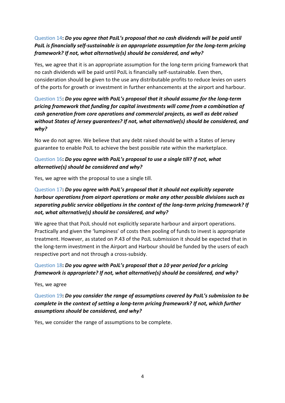# Question 14: Do you agree that PoJL's proposal that no cash dividends will be paid until PoJL is financially self-sustainable is an appropriate assumption for the long-term pricing framework? If not, what alternative(s) should be considered, and why?

Yes, we agree that it is an appropriate assumption for the long-term pricing framework that no cash dividends will be paid until PoJL is financially self-sustainable. Even then, consideration should be given to the use any distributable profits to reduce levies on users of the ports for growth or investment in further enhancements at the airport and harbour.

Question 15: Do you agree with PoJL's proposal that it should assume for the long-term pricing framework that funding for capital investments will come from a combination of cash generation from core operations and commercial projects, as well as debt raised without States of Jersey guarantees? If not, what alternative(s) should be considered, and why?

No we do not agree. We believe that any debt raised should be with a States of Jersey guarantee to enable PoJL to achieve the best possible rate within the marketplace.

#### Question 16: Do you agree with PoJL's proposal to use a single till? If not, what alternative(s) should be considered and why?

Yes, we agree with the proposal to use a single till.

# Question 17: Do you agree with PoJL's proposal that it should not explicitly separate harbour operations from airport operations or make any other possible divisions such as separating public service obligations in the context of the long-term pricing framework? If not, what alternative(s) should be considered, and why?

We agree that that PoJL should not explicitly separate harbour and airport operations. Practically and given the 'lumpiness' of costs then pooling of funds to invest is appropriate treatment. However, as stated on P.43 of the PoJL submission it should be expected that in the long-term investment in the Airport and Harbour should be funded by the users of each respective port and not through a cross-subsidy.

# Question 18: Do you agree with PoJL's proposal that a 10 year period for a pricing framework is appropriate? If not, what alternative(s) should be considered, and why?

Yes, we agree

# Question 19: Do you consider the range of assumptions covered by PoJL's submission to be complete in the context of setting a long-term pricing framework? If not, which further assumptions should be considered, and why?

Yes, we consider the range of assumptions to be complete.